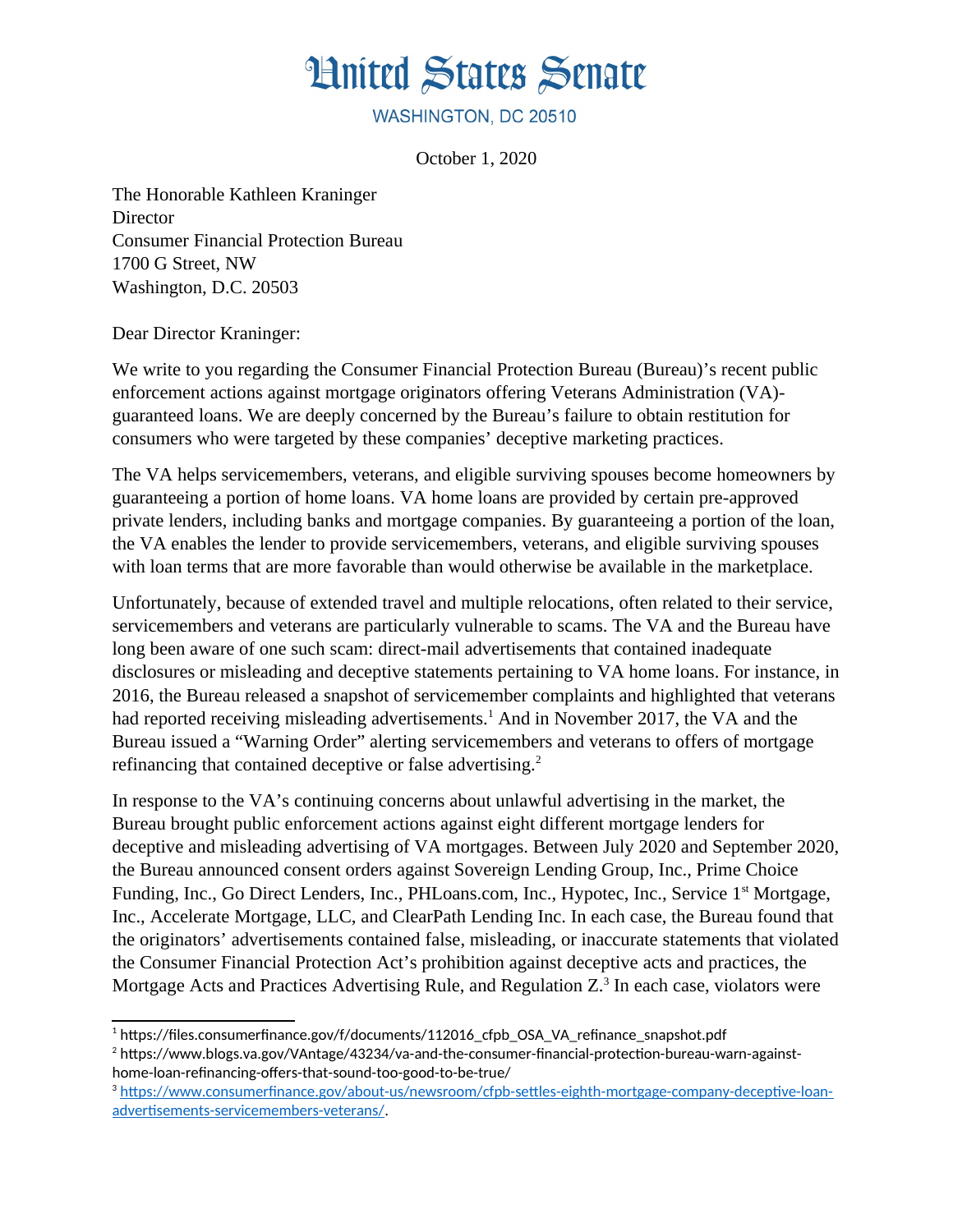## **Hnited States Senate**

WASHINGTON, DC 20510

October 1, 2020

The Honorable Kathleen Kraninger **Director** Consumer Financial Protection Bureau 1700 G Street, NW Washington, D.C. 20503

Dear Director Kraninger:

We write to you regarding the Consumer Financial Protection Bureau (Bureau)'s recent public enforcement actions against mortgage originators offering Veterans Administration (VA) guaranteed loans. We are deeply concerned by the Bureau's failure to obtain restitution for consumers who were targeted by these companies' deceptive marketing practices.

The VA helps servicemembers, veterans, and eligible surviving spouses become homeowners by guaranteeing a portion of home loans. VA home loans are provided by certain pre-approved private lenders, including banks and mortgage companies. By guaranteeing a portion of the loan, the VA enables the lender to provide servicemembers, veterans, and eligible surviving spouses with loan terms that are more favorable than would otherwise be available in the marketplace.

Unfortunately, because of extended travel and multiple relocations, often related to their service, servicemembers and veterans are particularly vulnerable to scams. The VA and the Bureau have long been aware of one such scam: direct-mail advertisements that contained inadequate disclosures or misleading and deceptive statements pertaining to VA home loans. For instance, in 2016, the Bureau released a snapshot of servicemember complaints and highlighted that veterans had reported receiving misleading advertisements.<sup>[1](#page-0-0)</sup> And in November 2017, the VA and the Bureau issued a "Warning Order" alerting servicemembers and veterans to offers of mortgage refinancing that contained deceptive or false advertising.<sup>[2](#page-0-1)</sup>

In response to the VA's continuing concerns about unlawful advertising in the market, the Bureau brought public enforcement actions against eight different mortgage lenders for deceptive and misleading advertising of VA mortgages. Between July 2020 and September 2020, the Bureau announced consent orders against Sovereign Lending Group, Inc., Prime Choice Funding, Inc., Go Direct Lenders, Inc., PHLoans.com, Inc., Hypotec, Inc., Service 1<sup>st</sup> Mortgage, Inc., Accelerate Mortgage, LLC, and ClearPath Lending Inc. In each case, the Bureau found that the originators' advertisements contained false, misleading, or inaccurate statements that violated the Consumer Financial Protection Act's prohibition against deceptive acts and practices, the Mortgage Acts and Practices Advertising Rule, and Regulation  $Z^3$  $Z^3$  In each case, violators were

<span id="page-0-1"></span> $^{\rm 2}$  https://www.blogs.va.gov/VAntage/43234/va-and-the-consumer-financial-protection-bureau-warn-againsthome-loan-refinancing-offers-that-sound-too-good-to-be-true/

<span id="page-0-0"></span><sup>&</sup>lt;sup>1</sup> https://files.consumerfinance.gov/f/documents/112016\_cfpb\_OSA\_VA\_refinance\_snapshot.pdf

<span id="page-0-2"></span><sup>3</sup> [https://www.consumerfinance.gov/about-us/newsroom/cfpb-settles-eighth-mortgage-company-deceptive-loan](https://www.consumerfinance.gov/about-us/newsroom/cfpb-settles-eighth-mortgage-company-deceptive-loan-advertisements-servicemembers-veterans/)[advertisements-servicemembers-veterans/](https://www.consumerfinance.gov/about-us/newsroom/cfpb-settles-eighth-mortgage-company-deceptive-loan-advertisements-servicemembers-veterans/).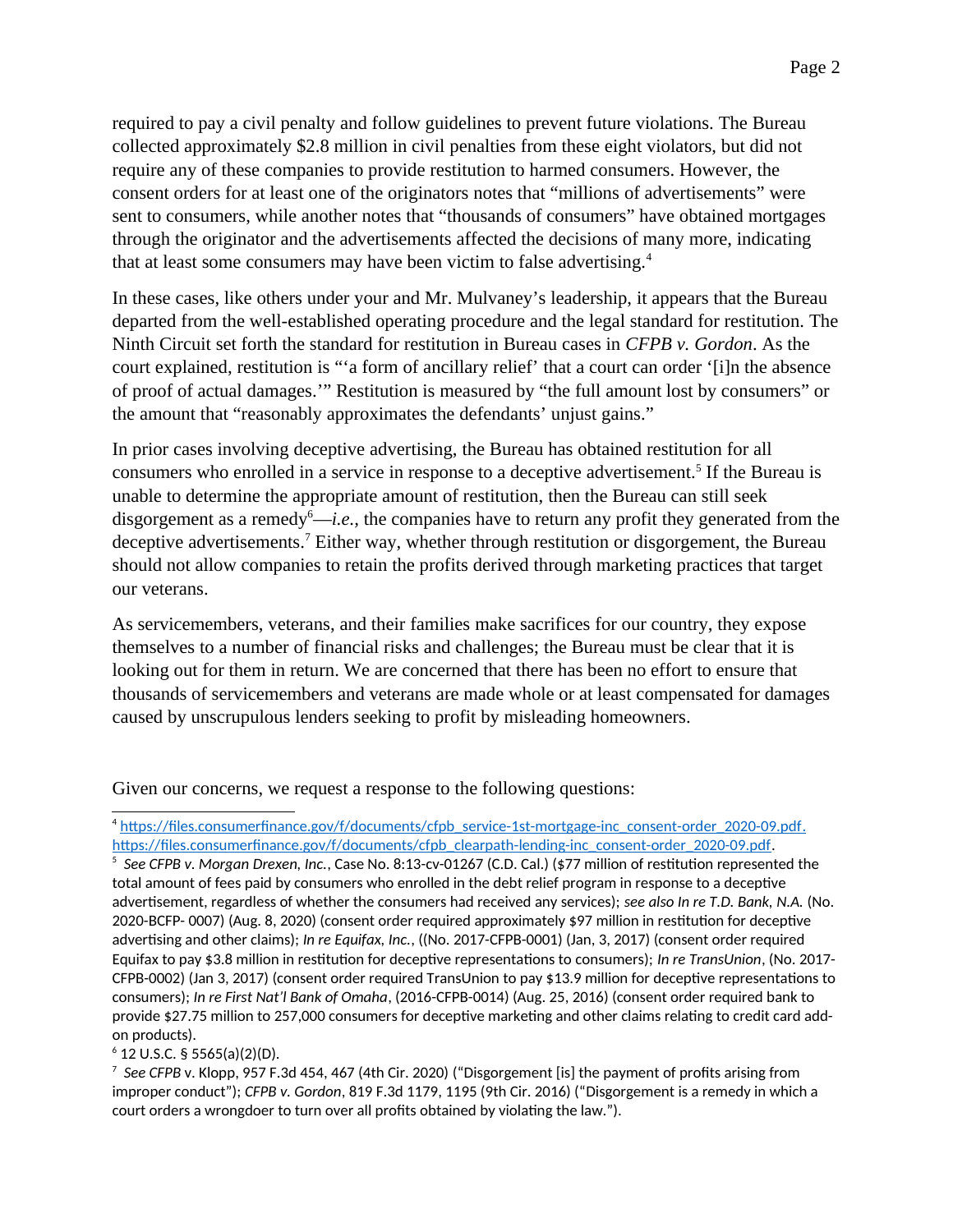required to pay a civil penalty and follow guidelines to prevent future violations. The Bureau collected approximately \$2.8 million in civil penalties from these eight violators, but did not require any of these companies to provide restitution to harmed consumers. However, the consent orders for at least one of the originators notes that "millions of advertisements" were sent to consumers, while another notes that "thousands of consumers" have obtained mortgages through the originator and the advertisements affected the decisions of many more, indicating that at least some consumers may have been victim to false advertising.<sup>[4](#page-1-0)</sup>

In these cases, like others under your and Mr. Mulvaney's leadership, it appears that the Bureau departed from the well-established operating procedure and the legal standard for restitution. The Ninth Circuit set forth the standard for restitution in Bureau cases in *CFPB v. Gordon*. As the court explained, restitution is "'a form of ancillary relief' that a court can order '[i]n the absence of proof of actual damages.'" Restitution is measured by "the full amount lost by consumers" or the amount that "reasonably approximates the defendants' unjust gains."

In prior cases involving deceptive advertising, the Bureau has obtained restitution for all consumers who enrolled in a service in response to a deceptive advertisement.<sup>[5](#page-1-1)</sup> If the Bureau is unable to determine the appropriate amount of restitution, then the Bureau can still seek disgorgement as a remedy<sup>[6](#page-1-2)</sup>—*i.e.*, the companies have to return any profit they generated from the deceptive advertisements.<sup>[7](#page-1-3)</sup> Either way, whether through restitution or disgorgement, the Bureau should not allow companies to retain the profits derived through marketing practices that target our veterans.

As servicemembers, veterans, and their families make sacrifices for our country, they expose themselves to a number of financial risks and challenges; the Bureau must be clear that it is looking out for them in return. We are concerned that there has been no effort to ensure that thousands of servicemembers and veterans are made whole or at least compensated for damages caused by unscrupulous lenders seeking to profit by misleading homeowners.

Given our concerns, we request a response to the following questions:

<span id="page-1-0"></span><sup>4</sup> https://files.consumerfinance.gov/f/documents/cfpb\_service-1st-mortgage-inc\_consent-order\_2020-09.pdf. [https://files.consumerfinance.gov/f/documents/cfpb\\_clearpath-lending-inc\\_consent-order\\_2020-09.pdf.](https://files.consumerfinance.gov/f/documents/cfpb_clearpath-lending-inc_consent-order_2020-09.pdf)

<span id="page-1-1"></span>5 *See CFPB v. Morgan Drexen, Inc.*, Case No. 8:13-cv-01267 (C.D. Cal.) (\$77 million of restitution represented the total amount of fees paid by consumers who enrolled in the debt relief program in response to a deceptive advertisement, regardless of whether the consumers had received any services); *see also In re T.D. Bank, N.A.* (No. 2020-BCFP- 0007) (Aug. 8, 2020) (consent order required approximately \$97 million in restitution for deceptive advertising and other claims); *In re Equifax, Inc.*, ((No. 2017-CFPB-0001) (Jan, 3, 2017) (consent order required Equifax to pay \$3.8 million in restitution for deceptive representations to consumers); *In re TransUnion*, (No. 2017- CFPB-0002) (Jan 3, 2017) (consent order required TransUnion to pay \$13.9 million for deceptive representations to consumers); *In re First Nat'l Bank of Omaha*, (2016-CFPB-0014) (Aug. 25, 2016) (consent order required bank to provide \$27.75 million to 257,000 consumers for deceptive marketing and other claims relating to credit card addon products).

<span id="page-1-2"></span> $6$  12 U.S.C. § 5565(a)(2)(D).

<span id="page-1-3"></span>7 *See CFPB* v. Klopp, 957 F.3d 454, 467 (4th Cir. 2020) ("Disgorgement [is] the payment of profits arising from improper conduct"); *CFPB v. Gordon*, 819 F.3d 1179, 1195 (9th Cir. 2016) ("Disgorgement is a remedy in which a court orders a wrongdoer to turn over all profits obtained by violating the law.").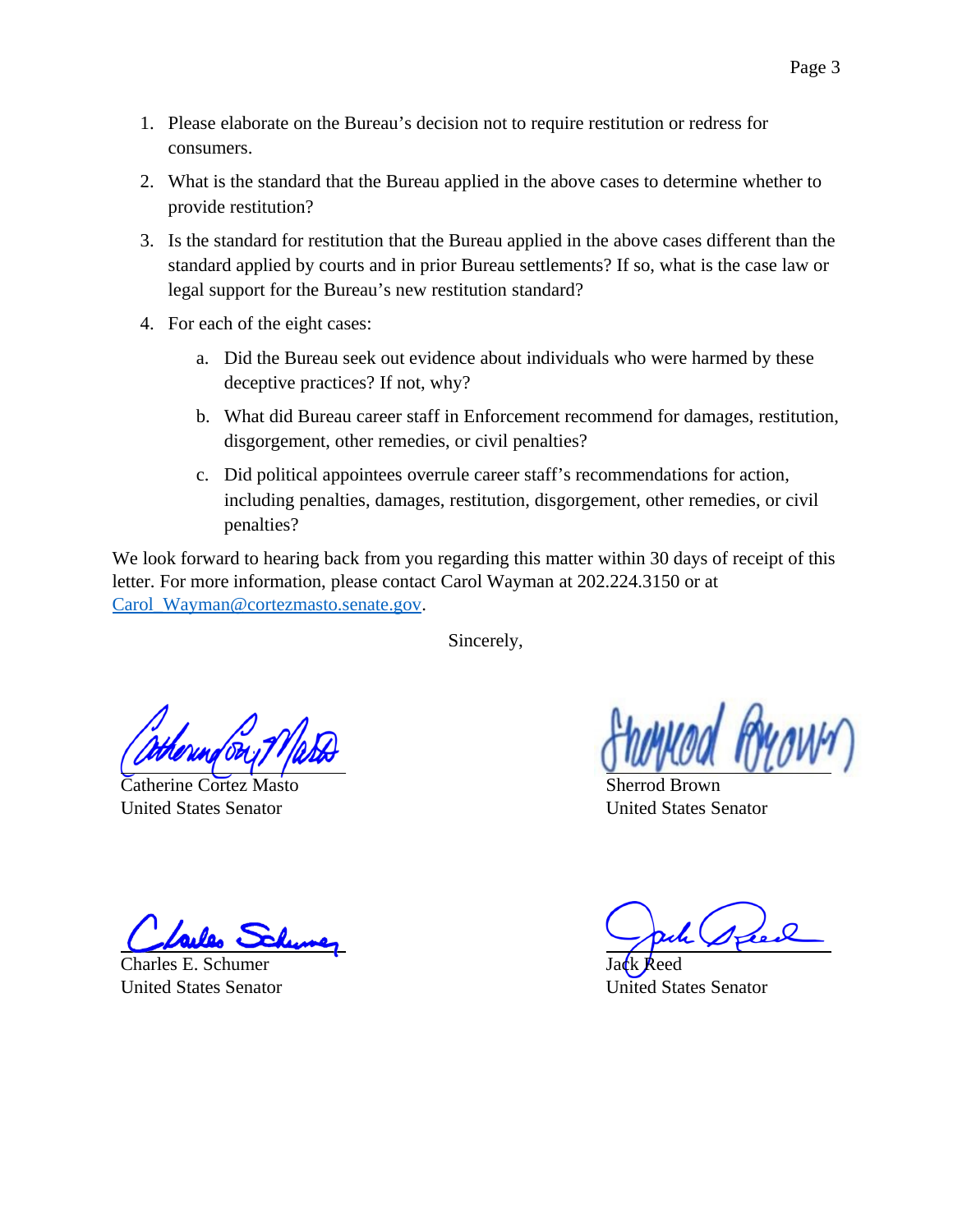- 1. Please elaborate on the Bureau's decision not to require restitution or redress for consumers.
- 2. What is the standard that the Bureau applied in the above cases to determine whether to provide restitution?
- 3. Is the standard for restitution that the Bureau applied in the above cases different than the standard applied by courts and in prior Bureau settlements? If so, what is the case law or legal support for the Bureau's new restitution standard?
- 4. For each of the eight cases:
	- a. Did the Bureau seek out evidence about individuals who were harmed by these deceptive practices? If not, why?
	- b. What did Bureau career staff in Enforcement recommend for damages, restitution, disgorgement, other remedies, or civil penalties?
	- c. Did political appointees overrule career staff's recommendations for action, including penalties, damages, restitution, disgorgement, other remedies, or civil penalties?

We look forward to hearing back from you regarding this matter within 30 days of receipt of this letter. For more information, please contact Carol Wayman at 202.224.3150 or at [Carol\\_Wayman@cortezmasto.senate.gov](mailto:Carol_Wayman@cortezmasto.senate.gov).

Sincerely,

Catherine Cortez Masto United States Senator

Charles E. Schumer United States Senator

Sherrod Brown United States Senator

Jack Reed United States Senator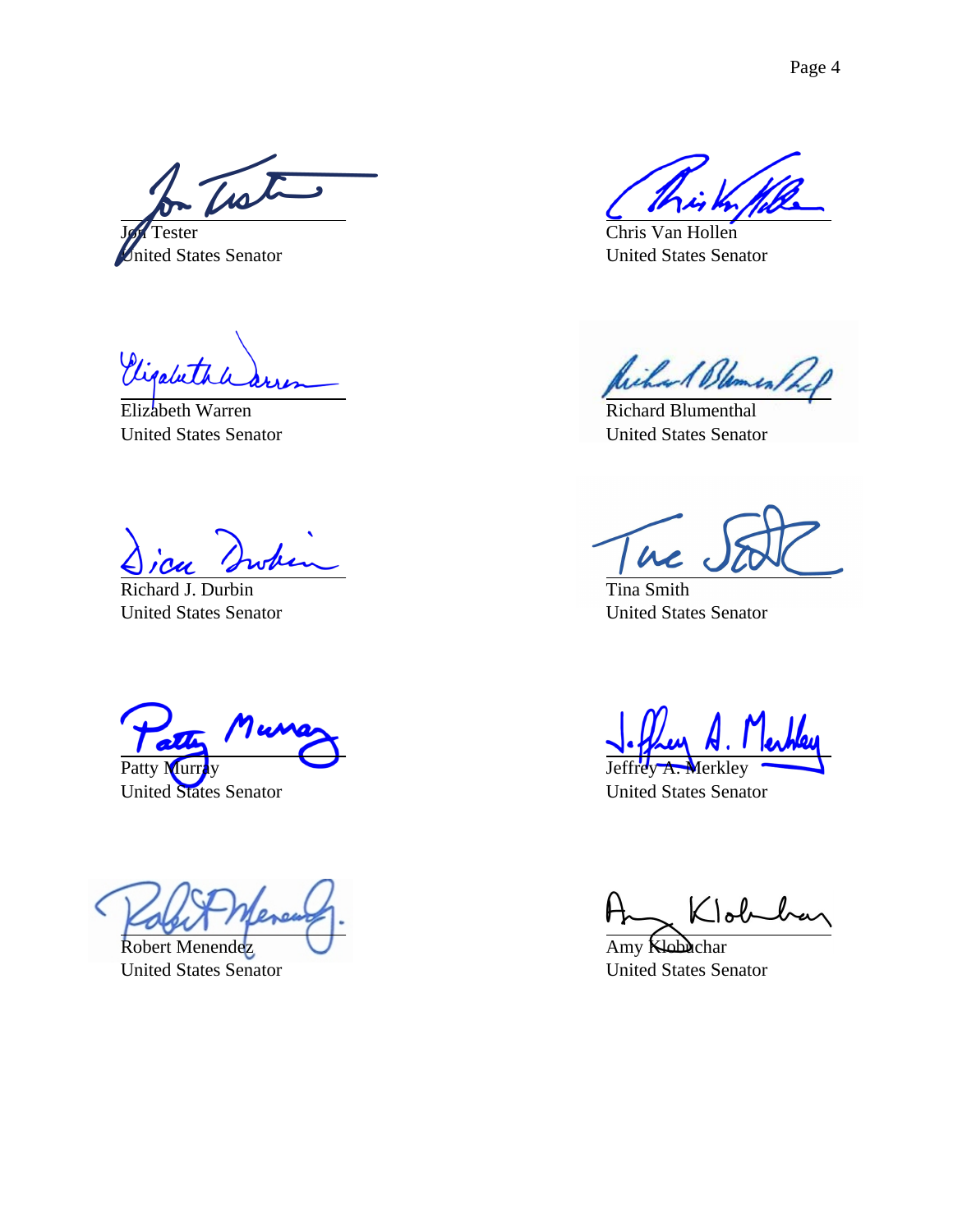Trate

Tester United States Senator

Vigabeth

Elizabeth Warren United States Senator

Richard J. Durbin United States Senator

 $\overline{\mathbf{z}}$ Patty Muri

United States Senator

Robert Menendez United States Senator

Chris Van Hollen United States Senator

Richard Blament

Richard Blumenthal United States Senator

 $\overline{\mu}$ 

Tina Smith United States Senator

Merkley United States Senator

Klob

Amy Klobuchar United States Senator